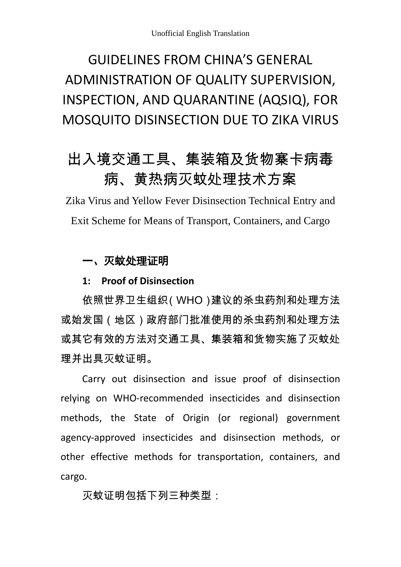# GUIDELINES FROM CHINA'S GENERAL ADMINISTRATION OF QUALITY SUPERVISION, INSPECTION, AND QUARANTINE (AQSIQ), FOR MOSQUITO DISINSECTION DUE TO ZIKA VIRUS

# 出入境交通工具、集装箱及货物寨卡病毒 病、黄热病灭蚊处理技术方案

Zika Virus and Yellow Fever Disinsection Technical Entry and Exit Scheme for Means of Transport, Containers, and Cargo

## 一、灭蚊处理证明

### **1: Proof of Disinsection**

依照世界卫生组织(WHO)建议的杀虫药剂和处理方法 或始发国(地区)政府部门批准使用的杀虫药剂和处理方法 或其它有效的方法对交通工具、集装箱和货物实施了灭蚊处 理并出具灭蚊证明。

Carry out disinsection and issue proof of disinsection relying on WHO-recommended insecticides and disinsection methods, the State of Origin (or regional) government agency-approved insecticides and disinsection methods, or other effective methods for transportation, containers, and cargo.

## 灭蚊证明包括下列三种类型: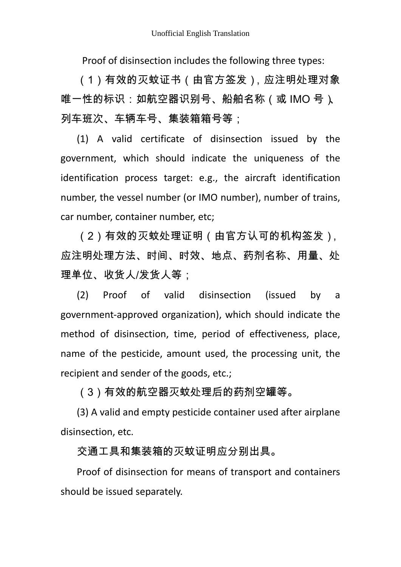Proof of disinsection includes the following three types:

(1)有效的灭蚊证书(由官方签发),应注明处理对象 唯一性的标识:如航空器识别号、船舶名称(或 IMO 号)、 列车班次、车辆车号、集装箱箱号等;

(1) A valid certificate of disinsection issued by the government, which should indicate the uniqueness of the identification process target: e.g., the aircraft identification number, the vessel number (or IMO number), number of trains, car number, container number, etc;

(2)有效的灭蚊处理证明(由官方认可的机构签发), 应注明处理方法、时间、时效、地点、药剂名称、用量、处 理单位、收货人/发货人等;

(2) Proof of valid disinsection (issued by a government-approved organization), which should indicate the method of disinsection, time, period of effectiveness, place, name of the pesticide, amount used, the processing unit, the recipient and sender of the goods, etc.;

(3)有效的航空器灭蚊处理后的药剂空罐等。

(3) A valid and empty pesticide container used after airplane disinsection, etc.

交通工具和集装箱的灭蚊证明应分别出具。

Proof of disinsection for means of transport and containers should be issued separately.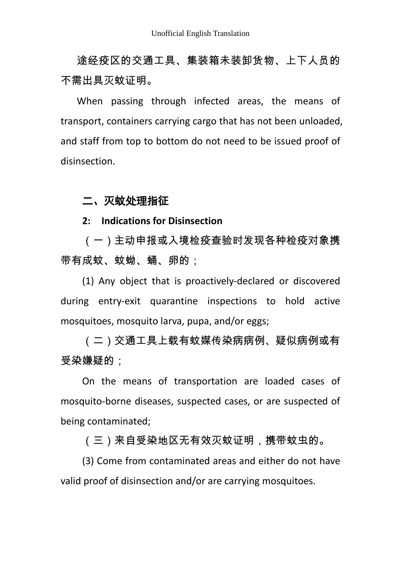途经疫区的交通工具、集装箱未装卸货物、上下人员的 不需出具灭蚊证明。

When passing through infected areas, the means of transport, containers carrying cargo that has not been unloaded, and staff from top to bottom do not need to be issued proof of disinsection.

### 二、灭蚊处理指征

#### **2: Indications for Disinsection**

(一)主动申报或入境检疫查验时发现各种检疫对象携 带有成蚊、蚊蚴、蛹、卵的;

(1) Any object that is proactively-declared or discovered during entry-exit quarantine inspections to hold active mosquitoes, mosquito larva, pupa, and/or eggs;

(二)交通工具上载有蚊媒传染病病例、疑似病例或有 受染嫌疑的;

On the means of transportation are loaded cases of mosquito-borne diseases, suspected cases, or are suspected of being contaminated;

(三)来自受染地区无有效灭蚊证明,携带蚊虫的。

(3) Come from contaminated areas and either do not have valid proof of disinsection and/or are carrying mosquitoes.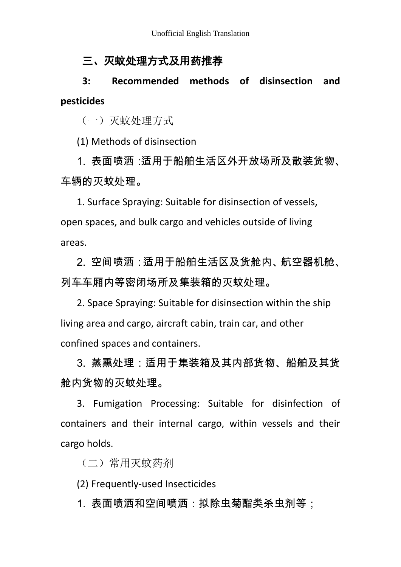# 三、灭蚊处理方式及用药推荐

**3: Recommended methods of disinsection and pesticides**

(一)灭蚊处理方式

(1) Methods of disinsection

1. 表面喷洒:话用干船舶生活区外开放场所及散装货物、 车辆的灭蚊处理。

1. Surface Spraying: Suitable for disinsection of vessels, open spaces, and bulk cargo and vehicles outside of living areas.

2. 空间喷洒:适用干船舶生活区及货舱内、航空器机舱、 列车车厢内等密闭场所及集装箱的灭蚊处理。

2. Space Spraying: Suitable for disinsection within the ship living area and cargo, aircraft cabin, train car, and other confined spaces and containers.

3. 蒸熏处理:活用干集装箱及其内部货物、船舶及其货 舱内货物的灭蚊处理。

3. Fumigation Processing: Suitable for disinfection of containers and their internal cargo, within vessels and their cargo holds.

(二)常用灭蚊药剂

(2) Frequently-used Insecticides

1. 表面喷洒和空间喷洒:拟除虫菊酯类杀虫剂等;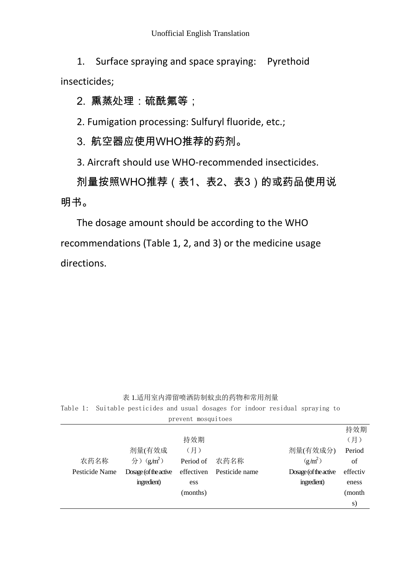1. Surface spraying and space spraying: Pyrethoid insecticides;

## 2. 熏蒸处理:硫酰氟等;

2. Fumigation processing: Sulfuryl fluoride, etc.;

3. 航空器应使用WHO推荐的药剂。

3. Aircraft should use WHO-recommended insecticides.

剂量按照WHO推荐(表1、表2、表3)的或药品使用说 明书。

The dosage amount should be according to the WHO recommendations (Table 1, 2, and 3) or the medicine usage directions.

#### 表 1.适用室内滞留喷洒防制蚊虫的药物和常用剂量

Table 1: Suitable pesticides and usual dosages for indoor residual spraying to prevent mosquitoes

|                |                       |            |                |                       | 持效期      |
|----------------|-----------------------|------------|----------------|-----------------------|----------|
|                |                       | 持效期        |                |                       | (月)      |
|                | 剂量(有效成                | (月)        |                | 剂量(有效成分)              | Period   |
| 农药名称           | 分) $(g/m^2)$          | Period of  | 农药名称           | $(g/m^2)$             | of       |
| Pesticide Name | Dosage (of the active | effectiven | Pesticide name | Dosage (of the active | effectiv |
|                | ingredient)           | ess        |                | ingredient)           | eness    |
|                |                       | (months)   |                |                       | (month)  |
|                |                       |            |                |                       | S)       |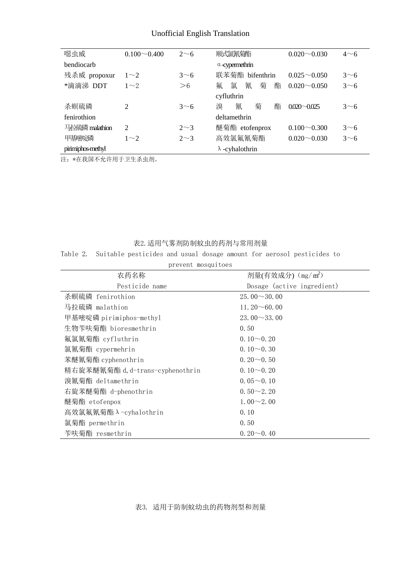#### Unofficial English Translation

| 噁虫威               | $0.100 \sim 0.400$ | $2\sim$ 6    | 顺式氯氰菊酯                 | $0.020 \sim 0.030$ | $4\sim 6$ |  |
|-------------------|--------------------|--------------|------------------------|--------------------|-----------|--|
| bendiocarb        |                    |              | $\alpha$ -cypermethrin |                    |           |  |
| 残杀威 propoxur      | $1\sim2$           | $3\sim 6$    | 联苯菊酯 bifenthrin        | $0.025 \sim 0.050$ | $3\sim 6$ |  |
| *滴滴涕 DDT          | $1\sim2$           | >6           | 氰<br>氟<br>菊<br>氯<br>酯  | $0.020 \sim 0.050$ | $3\sim 6$ |  |
|                   |                    |              | cyfluthrin             |                    |           |  |
| 杀螟硫磷              | $\overline{2}$     | 3~           | 菊<br>溴<br>氰<br>酯       | $0.020 - 0.025$    | $3\sim$ 6 |  |
| fenirothion       |                    | deltamethrin |                        |                    |           |  |
| 马拉硫磷 malathion    | 2                  | $2\sim3$     | 醚菊酯 etofenprox         | $0.100 \sim 0.300$ | $3\sim 6$ |  |
| 甲基嘧啶磷             | $1\sim2$           | $2\sim3$     | 高效氯氟氰菊酯                | $0.020 \sim 0.030$ | $3\sim 6$ |  |
| pirimiphos-methyl |                    |              | $\lambda$ -cyhalothrin |                    |           |  |

注:\*在我国不允许用于卫生杀虫剂。

#### 表2.适用气雾剂防制蚊虫的药剂与常用剂量

Table 2. Suitable pesticides and usual dosage amount for aerosol pesticides to

| prevent mosquitoes               |                               |  |  |  |  |
|----------------------------------|-------------------------------|--|--|--|--|
| 农药名称                             | 剂量(有效成分) (mg/m <sup>2</sup> ) |  |  |  |  |
| Pesticide name                   | Dosage (active ingredient)    |  |  |  |  |
| 杀螟硫磷 fenirothion                 | $25.00 \sim 30.00$            |  |  |  |  |
| 马拉硫磷 malathion                   | 11.20 $\sim$ 60.00            |  |  |  |  |
| 甲基嘧啶磷 pirimiphos-methyl          | $23.00 \sim 33.00$            |  |  |  |  |
| 生物苄呋菊酯 bioresmethrin             | 0.50                          |  |  |  |  |
| 氟氯氰菊酯 cyfluthrin                 | $0.10\sim 0.20$               |  |  |  |  |
| 氯氰菊酯 cypermehrin                 | $0.10 - 0.30$                 |  |  |  |  |
| 苯醚氰菊酯 cyphenothrin               | $0.20\sim 0.50$               |  |  |  |  |
| 精右旋苯醚氰菊酯 d, d-trans-cyphenothrin | $0.10\sim 0.20$               |  |  |  |  |
| 溴氰菊酯 deltamethrin                | $0.05 \sim 0.10$              |  |  |  |  |
| 右旋苯醚菊酯 d-phenothrin              | $0.50 \sim 2.20$              |  |  |  |  |
| 醚菊酯 etofenpox                    | $1.00 \sim 2.00$              |  |  |  |  |
| 高效氯氟氰菊酯 $\lambda$ -cyhalothrin   | 0.10                          |  |  |  |  |
| 氯菊酯 permethrin                   | 0.50                          |  |  |  |  |
| 苄呋菊酯 resmethrin                  | $0.20\sim 0.40$               |  |  |  |  |

表3. 适用于防制蚊幼虫的药物剂型和剂量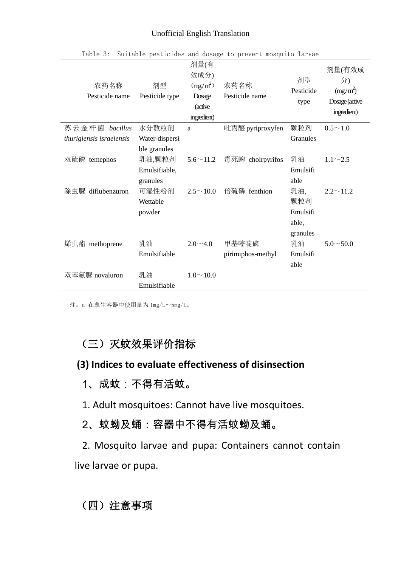#### Unofficial English Translation

| 农药名称<br>Pesticide name   | 剂型<br>Pesticide type                    | 剂量(有<br>效成分)<br>$(mg/m^2)$<br>Dosage<br>(active<br>ingredient) | 农药名称<br>Pesticide name     | 剂型<br>Pesticide<br>type                     | 剂量(有效成<br>分)<br>$(mg/m^2)$<br>Dosage (active<br>ingredient) |
|--------------------------|-----------------------------------------|----------------------------------------------------------------|----------------------------|---------------------------------------------|-------------------------------------------------------------|
| 苏云金杆菌 bacillus           | 水分散粒剂                                   | a                                                              | 吡丙醚 pyriproxyfen           | 颗粒剂                                         | $0.5 \sim 1.0$                                              |
| thurigiensis israelensis | Water-dispersi<br>ble granules          |                                                                |                            | Granules                                    |                                                             |
| 双硫磷 temephos             | 乳油,颗粒剂                                  | $5.6 \sim 11.2$                                                | 毒死蜱 cholrpyrifos           | 乳油                                          | $1.1 \sim 2.5$                                              |
|                          | Emulsifiable,                           |                                                                |                            | Emulsifi                                    |                                                             |
| 除虫脲 diflubenzuron        | granules<br>可湿性粉剂<br>Wettable<br>powder | $2.5 \sim 10.0$                                                | 倍硫磷 fenthion               | able<br>乳油,<br>颗粒剂<br>Emulsifi              | $2.2 \sim 11.2$                                             |
| 烯虫酯 methoprene           | 乳油<br>Emulsifiable                      | $2.0 \sim 4.0$                                                 | 甲基嘧啶磷<br>pirimiphos-methyl | able,<br>granules<br>乳油<br>Emulsifi<br>able | $5.0 \sim 50.0$                                             |
| 双苯氟脲 novaluron           | 乳油<br>Emulsifiable                      | $1.0 \sim 10.0$                                                |                            |                                             |                                                             |

Table 3: Suitable pesticides and dosage to prevent mosquito larvae

注:a 在孳生容器中使用量为 1mg/L~5mg/L。

# (三)灭蚊效果评价指标

## **(3) Indices to evaluate effectiveness of disinsection**

1、成蚊:不得有活蚊。

1. Adult mosquitoes: Cannot have live mosquitoes.

2、蚊蚴及蛹:容器中不得有活蚊蚴及蛹。

2. Mosquito larvae and pupa: Containers cannot contain live larvae or pupa.

(四)注意事项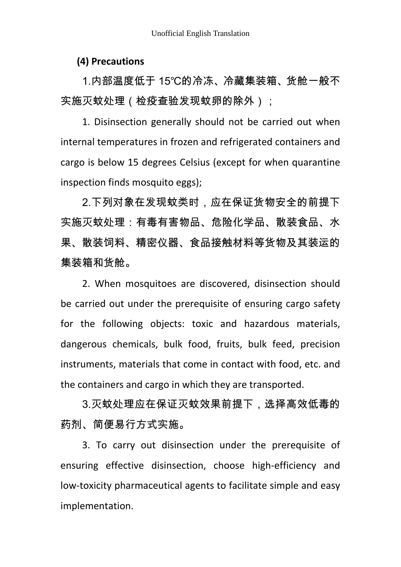#### **(4) Precautions**

1.内部温度低于 15℃的冷冻、冷藏集装箱、货舱一般不 实施灭蚊处理(检疫查验发现蚊卵的除外);

1. Disinsection generally should not be carried out when internal temperatures in frozen and refrigerated containers and cargo is below 15 degrees Celsius (except for when quarantine inspection finds mosquito eggs);

2.下列对象在发现蚊类时,应在保证货物安全的前提下 实施灭蚊处理:有毒有害物品、危险化学品、散装食品、水 果、散装饲料、精密仪器、食品接触材料等货物及其装运的 集装箱和货舱。

2. When mosquitoes are discovered, disinsection should be carried out under the prerequisite of ensuring cargo safety for the following objects: toxic and hazardous materials, dangerous chemicals, bulk food, fruits, bulk feed, precision instruments, materials that come in contact with food, etc. and the containers and cargo in which they are transported.

3.灭蚊处理应在保证灭蚊效果前提下,选择高效低毒的 药剂、简便易行方式实施。

3. To carry out disinsection under the prerequisite of ensuring effective disinsection, choose high-efficiency and low-toxicity pharmaceutical agents to facilitate simple and easy implementation.